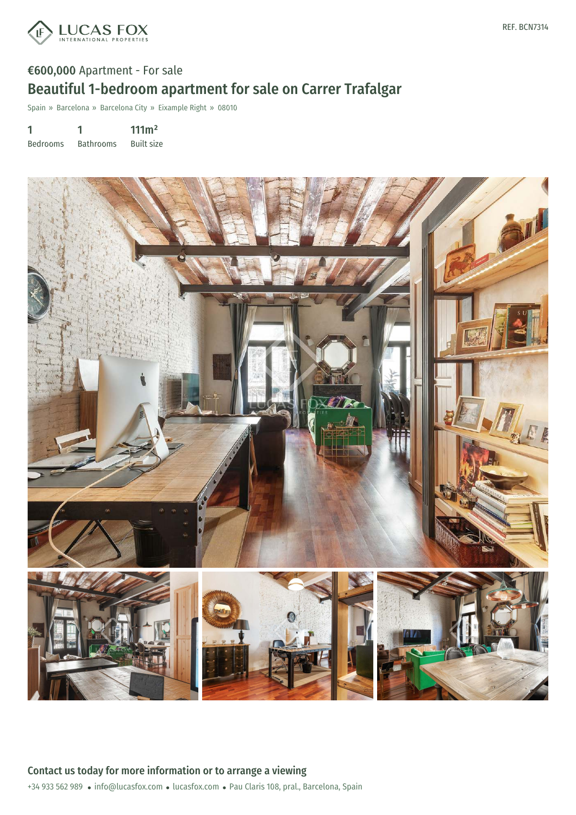

## €600,000 Apartment - For sale Beautiful 1-bedroom apartment for sale on Carrer Trafalgar

Spain » Barcelona » Barcelona City » Eixample Right » 08010

1 1 111m²

Bedrooms Bathrooms Built size

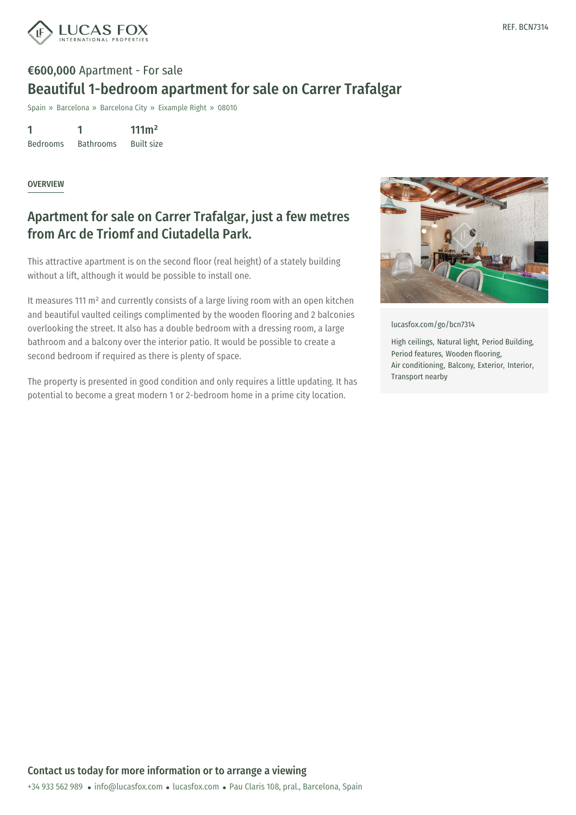

## €600,000 Apartment - For sale Beautiful 1-bedroom apartment for sale on Carrer Trafalgar

Spain » Barcelona » Barcelona City » Eixample Right » 08010

1 Bedrooms 1 Bathrooms  $111m<sup>2</sup>$ Built size

**OVERVIEW** 

## Apartment for sale on Carrer Trafalgar, just a few metres from Arc de Triomf and Ciutadella Park.

This attractive apartment is on the second floor (real height) of a stately building without a lift, although it would be possible to install one.

It measures 111 m² and currently consists of a large living room with an open kitchen and beautiful vaulted ceilings complimented by the wooden flooring and 2 balconies overlooking the street. It also has a double bedroom with a dressing room, a large bathroom and a balcony over the interior patio. It would be possible to create a second bedroom if required as there is plenty of space.

The property is presented in good condition and only requires a little updating. It has potential to become a great modern 1 or 2-bedroom home in a prime city location.



[lucasfox.com/go/bcn7314](https://www.lucasfox.com/go/bcn7314)

High ceilings, Natural light, Period Building, Period features, Wooden flooring, Air conditioning, Balcony, Exterior, Interior, Transport nearby